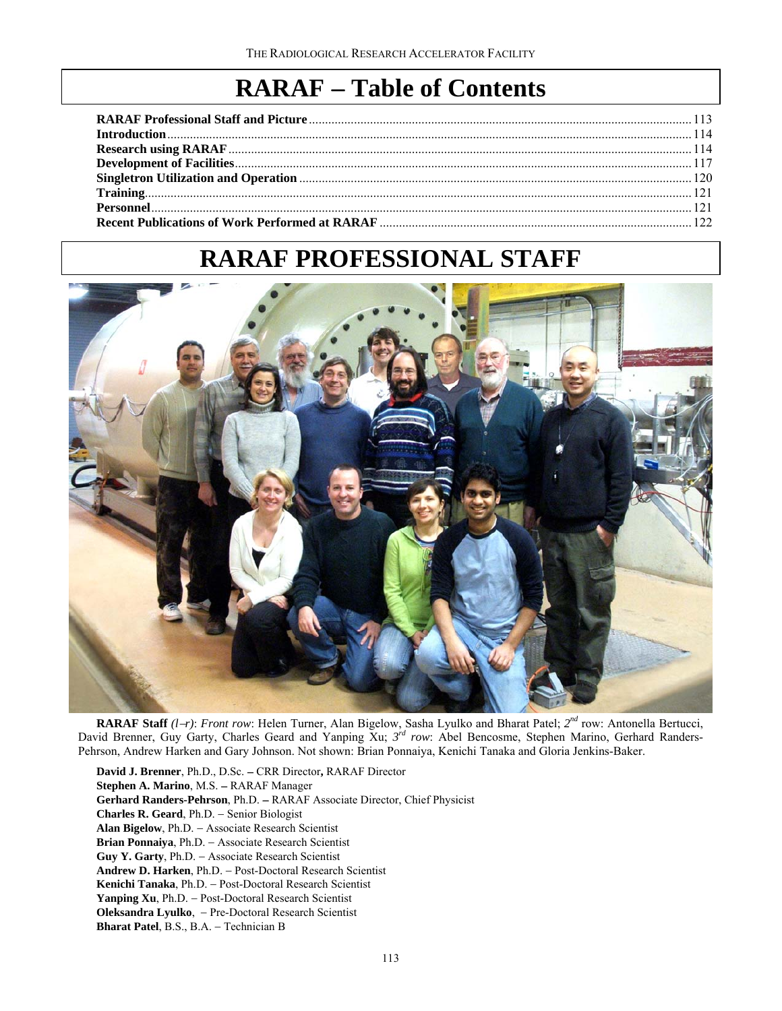# **RARAF** − **Table of Contents**

# **RARAF PROFESSIONAL STAFF**



**RARAF Staff** *(l*−*r)*: *Front row*: Helen Turner, Alan Bigelow, Sasha Lyulko and Bharat Patel; *2nd* row: Antonella Bertucci, David Brenner, Guy Garty, Charles Geard and Yanping Xu; *3rd row*: Abel Bencosme, Stephen Marino, Gerhard Randers-Pehrson, Andrew Harken and Gary Johnson. Not shown: Brian Ponnaiya, Kenichi Tanaka and Gloria Jenkins-Baker.

**David J. Brenner**, Ph.D., D.Sc. − CRR Director**,** RARAF Director **Stephen A. Marino**, M.S. − RARAF Manager **Gerhard Randers-Pehrson**, Ph.D. − RARAF Associate Director, Chief Physicist **Charles R. Geard**, Ph.D. − Senior Biologist **Alan Bigelow**, Ph.D. − Associate Research Scientist **Brian Ponnaiya**, Ph.D. − Associate Research Scientist **Guy Y. Garty**, Ph.D. − Associate Research Scientist **Andrew D. Harken**, Ph.D. − Post-Doctoral Research Scientist **Kenichi Tanaka**, Ph.D. − Post-Doctoral Research Scientist **Yanping Xu**, Ph.D. − Post-Doctoral Research Scientist **Oleksandra Lyulko**, − Pre-Doctoral Research Scientist **Bharat Patel**, B.S., B.A. − Technician B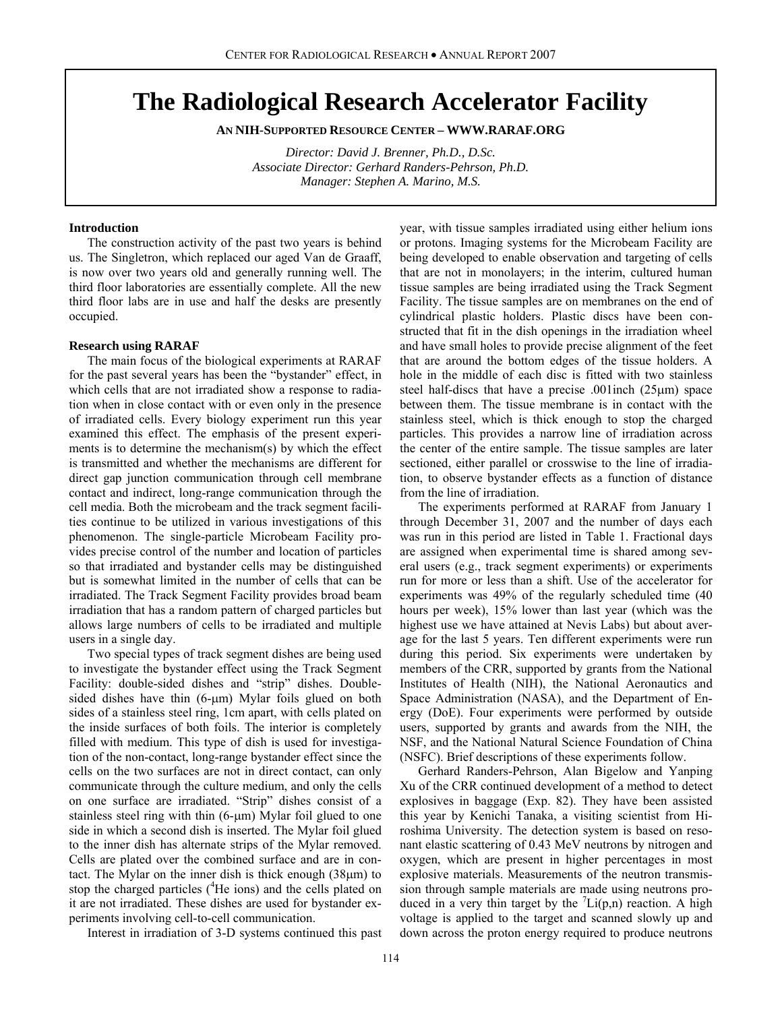# **The Radiological Research Accelerator Facility**

**AN NIH-SUPPORTED RESOURCE CENTER – WWW.RARAF.ORG** 

*Director: David J. Brenner, Ph.D., D.Sc. Associate Director: Gerhard Randers-Pehrson, Ph.D. Manager: Stephen A. Marino, M.S.* 

#### **Introduction**

The construction activity of the past two years is behind us. The Singletron, which replaced our aged Van de Graaff, is now over two years old and generally running well. The third floor laboratories are essentially complete. All the new third floor labs are in use and half the desks are presently occupied.

#### **Research using RARAF**

The main focus of the biological experiments at RARAF for the past several years has been the "bystander" effect, in which cells that are not irradiated show a response to radiation when in close contact with or even only in the presence of irradiated cells. Every biology experiment run this year examined this effect. The emphasis of the present experiments is to determine the mechanism(s) by which the effect is transmitted and whether the mechanisms are different for direct gap junction communication through cell membrane contact and indirect, long-range communication through the cell media. Both the microbeam and the track segment facilities continue to be utilized in various investigations of this phenomenon. The single-particle Microbeam Facility provides precise control of the number and location of particles so that irradiated and bystander cells may be distinguished but is somewhat limited in the number of cells that can be irradiated. The Track Segment Facility provides broad beam irradiation that has a random pattern of charged particles but allows large numbers of cells to be irradiated and multiple users in a single day.

Two special types of track segment dishes are being used to investigate the bystander effect using the Track Segment Facility: double-sided dishes and "strip" dishes. Doublesided dishes have thin (6-μm) Mylar foils glued on both sides of a stainless steel ring, 1cm apart, with cells plated on the inside surfaces of both foils. The interior is completely filled with medium. This type of dish is used for investigation of the non-contact, long-range bystander effect since the cells on the two surfaces are not in direct contact, can only communicate through the culture medium, and only the cells on one surface are irradiated. "Strip" dishes consist of a stainless steel ring with thin (6-μm) Mylar foil glued to one side in which a second dish is inserted. The Mylar foil glued to the inner dish has alternate strips of the Mylar removed. Cells are plated over the combined surface and are in contact. The Mylar on the inner dish is thick enough (38μm) to stop the charged particles (<sup>4</sup>He ions) and the cells plated on it are not irradiated. These dishes are used for bystander experiments involving cell-to-cell communication.

year, with tissue samples irradiated using either helium ions or protons. Imaging systems for the Microbeam Facility are being developed to enable observation and targeting of cells that are not in monolayers; in the interim, cultured human tissue samples are being irradiated using the Track Segment Facility. The tissue samples are on membranes on the end of cylindrical plastic holders. Plastic discs have been constructed that fit in the dish openings in the irradiation wheel and have small holes to provide precise alignment of the feet that are around the bottom edges of the tissue holders. A hole in the middle of each disc is fitted with two stainless steel half-discs that have a precise .001inch (25μm) space between them. The tissue membrane is in contact with the stainless steel, which is thick enough to stop the charged particles. This provides a narrow line of irradiation across the center of the entire sample. The tissue samples are later sectioned, either parallel or crosswise to the line of irradiation, to observe bystander effects as a function of distance from the line of irradiation.

The experiments performed at RARAF from January 1 through December 31, 2007 and the number of days each was run in this period are listed in Table 1. Fractional days are assigned when experimental time is shared among several users (e.g., track segment experiments) or experiments run for more or less than a shift. Use of the accelerator for experiments was 49% of the regularly scheduled time (40 hours per week), 15% lower than last year (which was the highest use we have attained at Nevis Labs) but about average for the last 5 years. Ten different experiments were run during this period. Six experiments were undertaken by members of the CRR, supported by grants from the National Institutes of Health (NIH), the National Aeronautics and Space Administration (NASA), and the Department of Energy (DoE). Four experiments were performed by outside users, supported by grants and awards from the NIH, the NSF, and the National Natural Science Foundation of China (NSFC). Brief descriptions of these experiments follow.

Gerhard Randers-Pehrson, Alan Bigelow and Yanping Xu of the CRR continued development of a method to detect explosives in baggage (Exp. 82). They have been assisted this year by Kenichi Tanaka, a visiting scientist from Hiroshima University. The detection system is based on resonant elastic scattering of 0.43 MeV neutrons by nitrogen and oxygen, which are present in higher percentages in most explosive materials. Measurements of the neutron transmission through sample materials are made using neutrons produced in a very thin target by the  $\text{Li}(p,n)$  reaction. A high voltage is applied to the target and scanned slowly up and down across the proton energy required to produce neutrons

Interest in irradiation of 3-D systems continued this past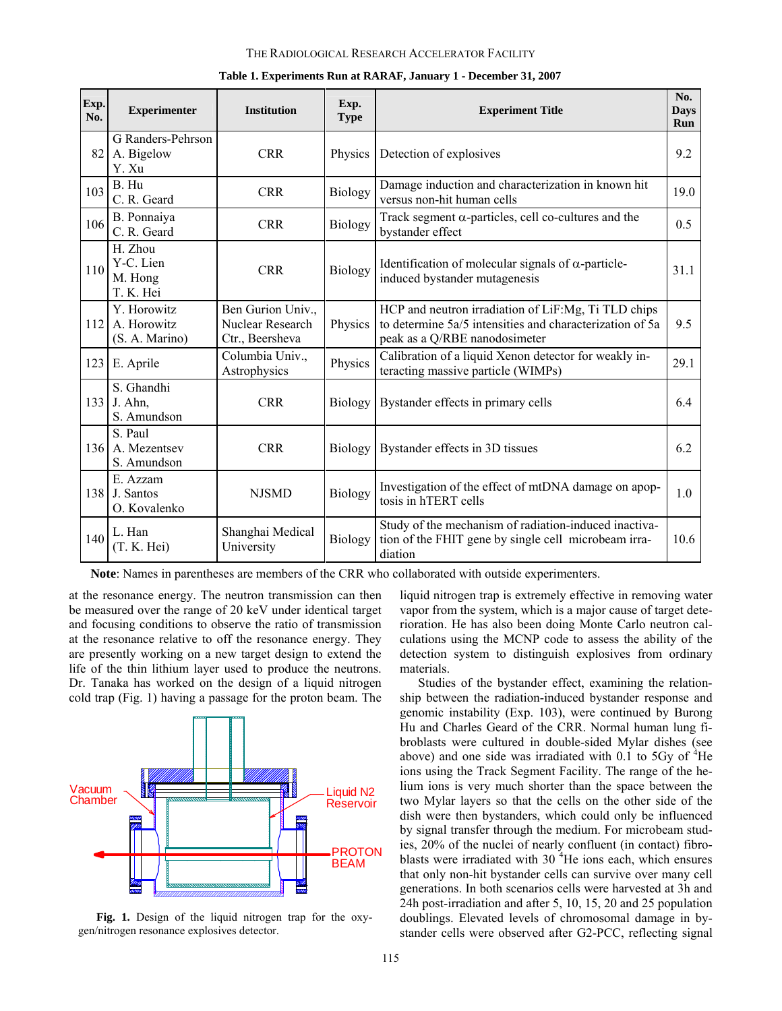#### THE RADIOLOGICAL RESEARCH ACCELERATOR FACILITY

| Exp.<br>No. | <b>Experimenter</b>                          | <b>Institution</b>                                       | Exp.<br><b>Type</b> | <b>Experiment Title</b>                                                                                                                          | No.<br><b>Days</b><br>Run |
|-------------|----------------------------------------------|----------------------------------------------------------|---------------------|--------------------------------------------------------------------------------------------------------------------------------------------------|---------------------------|
| 82          | G Randers-Pehrson<br>A. Bigelow<br>Y. Xu     | <b>CRR</b>                                               | Physics             | Detection of explosives                                                                                                                          | 9.2                       |
| 103         | B. Hu<br>C. R. Geard                         | <b>CRR</b>                                               | <b>Biology</b>      | Damage induction and characterization in known hit<br>versus non-hit human cells                                                                 |                           |
| 106         | B. Ponnaiya<br>C. R. Geard                   | <b>CRR</b>                                               | Biology             | Track segment $\alpha$ -particles, cell co-cultures and the<br>bystander effect                                                                  | 0.5                       |
| 110         | H. Zhou<br>Y-C. Lien<br>M. Hong<br>T. K. Hei | <b>CRR</b>                                               | Biology             | Identification of molecular signals of $\alpha$ -particle-<br>induced bystander mutagenesis                                                      | 31.1                      |
| 112         | Y. Horowitz<br>A. Horowitz<br>(S. A. Marino) | Ben Gurion Univ.,<br>Nuclear Research<br>Ctr., Beersheva | Physics             | HCP and neutron irradiation of LiF:Mg, Ti TLD chips<br>to determine 5a/5 intensities and characterization of 5a<br>peak as a Q/RBE nanodosimeter |                           |
| 123         | E. Aprile                                    | Columbia Univ.,<br>Astrophysics                          | Physics             | Calibration of a liquid Xenon detector for weakly in-<br>teracting massive particle (WIMPs)                                                      | 29.1                      |
|             | S. Ghandhi<br>133 J. Ahn,<br>S. Amundson     | <b>CRR</b>                                               | <b>Biology</b>      | Bystander effects in primary cells                                                                                                               | 64                        |
|             | S. Paul<br>136 A. Mezentsev<br>S. Amundson   | <b>CRR</b>                                               | Biology             | Bystander effects in 3D tissues                                                                                                                  | 6.2                       |
|             | E. Azzam<br>138 J. Santos<br>O. Kovalenko    | <b>NJSMD</b>                                             | Biology             | Investigation of the effect of mtDNA damage on apop-<br>tosis in hTERT cells                                                                     | 1.0                       |
| 140         | L. Han<br>(T. K. Hei)                        | Shanghai Medical<br>University                           | Biology             | Study of the mechanism of radiation-induced inactiva-<br>tion of the FHIT gene by single cell microbeam irra-<br>diation                         | 10.6                      |

|  |  | Table 1. Experiments Run at RARAF, January 1 - December 31, 2007 |  |
|--|--|------------------------------------------------------------------|--|
|  |  |                                                                  |  |

 **Note**: Names in parentheses are members of the CRR who collaborated with outside experimenters.

at the resonance energy. The neutron transmission can then be measured over the range of 20 keV under identical target and focusing conditions to observe the ratio of transmission at the resonance relative to off the resonance energy. They are presently working on a new target design to extend the life of the thin lithium layer used to produce the neutrons. Dr. Tanaka has worked on the design of a liquid nitrogen cold trap (Fig. 1) having a passage for the proton beam. The



**Fig. 1.** Design of the liquid nitrogen trap for the oxygen/nitrogen resonance explosives detector.

liquid nitrogen trap is extremely effective in removing water vapor from the system, which is a major cause of target deterioration. He has also been doing Monte Carlo neutron calculations using the MCNP code to assess the ability of the detection system to distinguish explosives from ordinary materials.

Studies of the bystander effect, examining the relationship between the radiation-induced bystander response and genomic instability (Exp. 103), were continued by Burong Hu and Charles Geard of the CRR. Normal human lung fibroblasts were cultured in double-sided Mylar dishes (see above) and one side was irradiated with  $0.1$  to 5Gy of  ${}^{4}$ He ions using the Track Segment Facility. The range of the helium ions is very much shorter than the space between the two Mylar layers so that the cells on the other side of the dish were then bystanders, which could only be influenced by signal transfer through the medium. For microbeam studies, 20% of the nuclei of nearly confluent (in contact) fibroblasts were irradiated with  $30<sup>4</sup>$ He ions each, which ensures that only non-hit bystander cells can survive over many cell generations. In both scenarios cells were harvested at 3h and 24h post-irradiation and after 5, 10, 15, 20 and 25 population doublings. Elevated levels of chromosomal damage in bystander cells were observed after G2-PCC, reflecting signal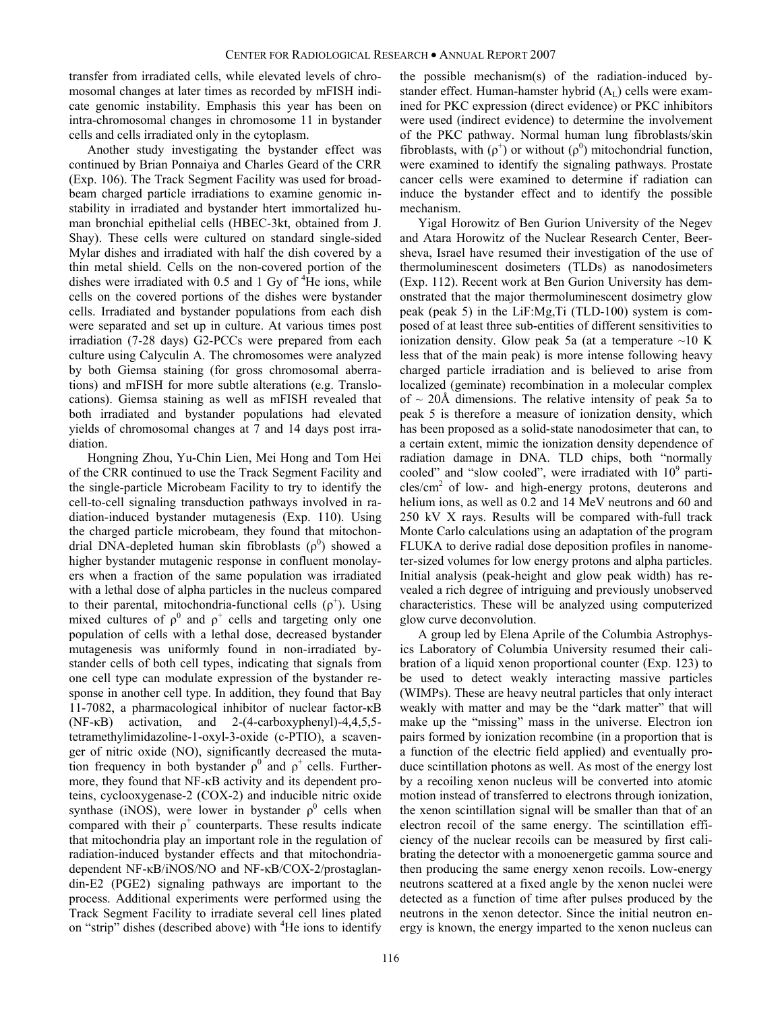transfer from irradiated cells, while elevated levels of chromosomal changes at later times as recorded by mFISH indicate genomic instability. Emphasis this year has been on intra-chromosomal changes in chromosome 11 in bystander cells and cells irradiated only in the cytoplasm.

Another study investigating the bystander effect was continued by Brian Ponnaiya and Charles Geard of the CRR (Exp. 106). The Track Segment Facility was used for broadbeam charged particle irradiations to examine genomic instability in irradiated and bystander htert immortalized human bronchial epithelial cells (HBEC-3kt, obtained from J. Shay). These cells were cultured on standard single-sided Mylar dishes and irradiated with half the dish covered by a thin metal shield. Cells on the non-covered portion of the dishes were irradiated with 0.5 and 1 Gy of  ${}^{4}$ He ions, while cells on the covered portions of the dishes were bystander cells. Irradiated and bystander populations from each dish were separated and set up in culture. At various times post irradiation (7-28 days) G2-PCCs were prepared from each culture using Calyculin A. The chromosomes were analyzed by both Giemsa staining (for gross chromosomal aberrations) and mFISH for more subtle alterations (e.g. Translocations). Giemsa staining as well as mFISH revealed that both irradiated and bystander populations had elevated yields of chromosomal changes at 7 and 14 days post irradiation.

Hongning Zhou, Yu-Chin Lien, Mei Hong and Tom Hei of the CRR continued to use the Track Segment Facility and the single-particle Microbeam Facility to try to identify the cell-to-cell signaling transduction pathways involved in radiation-induced bystander mutagenesis (Exp. 110). Using the charged particle microbeam, they found that mitochondrial DNA-depleted human skin fibroblasts  $(\rho^0)$  showed a higher bystander mutagenic response in confluent monolayers when a fraction of the same population was irradiated with a lethal dose of alpha particles in the nucleus compared to their parental, mitochondria-functional cells  $(\rho^+)$ . Using mixed cultures of  $\rho^0$  and  $\rho^+$  cells and targeting only one population of cells with a lethal dose, decreased bystander mutagenesis was uniformly found in non-irradiated bystander cells of both cell types, indicating that signals from one cell type can modulate expression of the bystander response in another cell type. In addition, they found that Bay 11-7082, a pharmacological inhibitor of nuclear factor-κB (NF-κB) activation, and 2-(4-carboxyphenyl)-4,4,5,5 tetramethylimidazoline-1-oxyl-3-oxide (c-PTIO), a scavenger of nitric oxide (NO), significantly decreased the mutation frequency in both bystander  $\rho^0$  and  $\rho^+$  cells. Furthermore, they found that NF-κB activity and its dependent proteins, cyclooxygenase-2 (COX-2) and inducible nitric oxide synthase (iNOS), were lower in bystander  $\rho^0$  cells when compared with their  $\rho^+$  counterparts. These results indicate that mitochondria play an important role in the regulation of radiation-induced bystander effects and that mitochondriadependent NF-κB/iNOS/NO and NF-κB/COX-2/prostaglandin-E2 (PGE2) signaling pathways are important to the process. Additional experiments were performed using the Track Segment Facility to irradiate several cell lines plated on "strip" dishes (described above) with <sup>4</sup>He ions to identify the possible mechanism(s) of the radiation-induced bystander effect. Human-hamster hybrid  $(A_L)$  cells were examined for PKC expression (direct evidence) or PKC inhibitors were used (indirect evidence) to determine the involvement of the PKC pathway. Normal human lung fibroblasts/skin fibroblasts, with  $(\rho^+)$  or without  $(\rho^0)$  mitochondrial function, were examined to identify the signaling pathways. Prostate cancer cells were examined to determine if radiation can induce the bystander effect and to identify the possible mechanism.

Yigal Horowitz of Ben Gurion University of the Negev and Atara Horowitz of the Nuclear Research Center, Beersheva, Israel have resumed their investigation of the use of thermoluminescent dosimeters (TLDs) as nanodosimeters (Exp. 112). Recent work at Ben Gurion University has demonstrated that the major thermoluminescent dosimetry glow peak (peak 5) in the LiF:Mg,Ti (TLD-100) system is composed of at least three sub-entities of different sensitivities to ionization density. Glow peak 5a (at a temperature  $\sim$ 10 K less that of the main peak) is more intense following heavy charged particle irradiation and is believed to arise from localized (geminate) recombination in a molecular complex of  $\sim$  20Å dimensions. The relative intensity of peak 5a to peak 5 is therefore a measure of ionization density, which has been proposed as a solid-state nanodosimeter that can, to a certain extent, mimic the ionization density dependence of radiation damage in DNA. TLD chips, both "normally cooled" and "slow cooled", were irradiated with  $10^9$  parti $cles/cm<sup>2</sup>$  of low- and high-energy protons, deuterons and helium ions, as well as  $0.2$  and  $14$  MeV neutrons and  $60$  and 250 kV X rays. Results will be compared with-full track Monte Carlo calculations using an adaptation of the program FLUKA to derive radial dose deposition profiles in nanometer-sized volumes for low energy protons and alpha particles. Initial analysis (peak-height and glow peak width) has revealed a rich degree of intriguing and previously unobserved characteristics. These will be analyzed using computerized glow curve deconvolution.

A group led by Elena Aprile of the Columbia Astrophysics Laboratory of Columbia University resumed their calibration of a liquid xenon proportional counter (Exp. 123) to be used to detect weakly interacting massive particles (WIMPs). These are heavy neutral particles that only interact weakly with matter and may be the "dark matter" that will make up the "missing" mass in the universe. Electron ion pairs formed by ionization recombine (in a proportion that is a function of the electric field applied) and eventually produce scintillation photons as well. As most of the energy lost by a recoiling xenon nucleus will be converted into atomic motion instead of transferred to electrons through ionization, the xenon scintillation signal will be smaller than that of an electron recoil of the same energy. The scintillation efficiency of the nuclear recoils can be measured by first calibrating the detector with a monoenergetic gamma source and then producing the same energy xenon recoils. Low-energy neutrons scattered at a fixed angle by the xenon nuclei were detected as a function of time after pulses produced by the neutrons in the xenon detector. Since the initial neutron energy is known, the energy imparted to the xenon nucleus can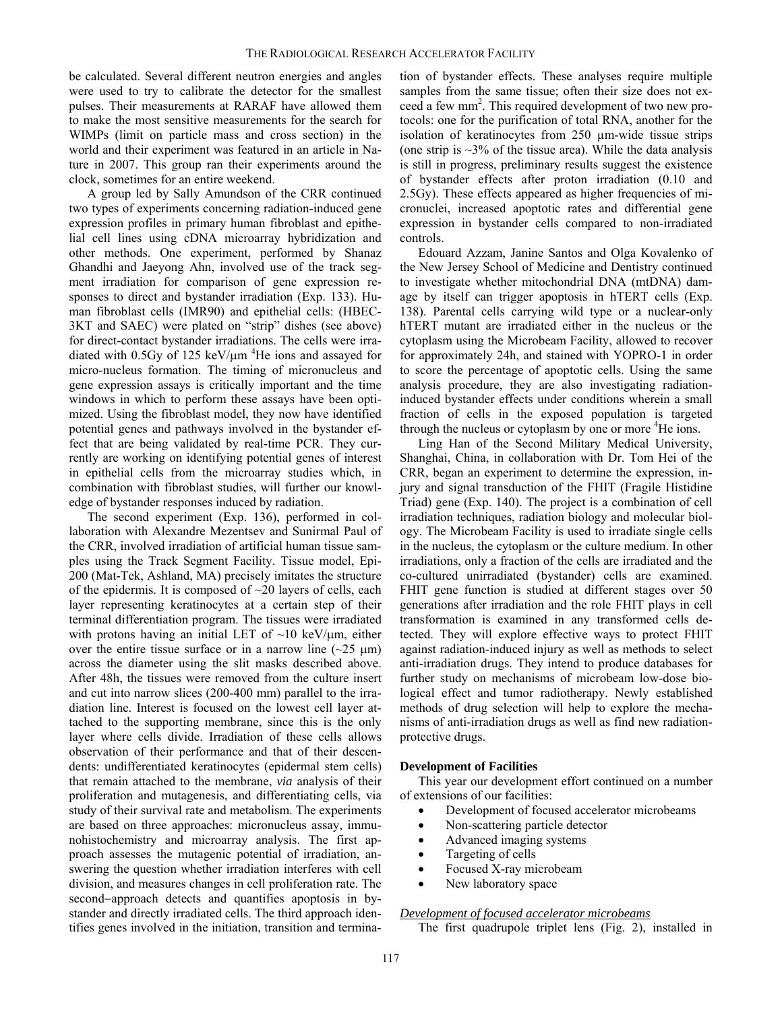be calculated. Several different neutron energies and angles were used to try to calibrate the detector for the smallest pulses. Their measurements at RARAF have allowed them to make the most sensitive measurements for the search for WIMPs (limit on particle mass and cross section) in the world and their experiment was featured in an article in Nature in 2007. This group ran their experiments around the clock, sometimes for an entire weekend.

A group led by Sally Amundson of the CRR continued two types of experiments concerning radiation-induced gene expression profiles in primary human fibroblast and epithelial cell lines using cDNA microarray hybridization and other methods. One experiment, performed by Shanaz Ghandhi and Jaeyong Ahn, involved use of the track segment irradiation for comparison of gene expression responses to direct and bystander irradiation (Exp. 133). Human fibroblast cells (IMR90) and epithelial cells: (HBEC-3KT and SAEC) were plated on "strip" dishes (see above) for direct-contact bystander irradiations. The cells were irradiated with  $0.5Gy$  of 125 keV/ $\mu$ m<sup>4</sup>He ions and assayed for micro-nucleus formation. The timing of micronucleus and gene expression assays is critically important and the time windows in which to perform these assays have been optimized. Using the fibroblast model, they now have identified potential genes and pathways involved in the bystander effect that are being validated by real-time PCR. They currently are working on identifying potential genes of interest in epithelial cells from the microarray studies which, in combination with fibroblast studies, will further our knowledge of bystander responses induced by radiation.

The second experiment (Exp. 136), performed in collaboration with Alexandre Mezentsev and Sunirmal Paul of the CRR, involved irradiation of artificial human tissue samples using the Track Segment Facility. Tissue model, Epi-200 (Mat-Tek, Ashland, MA) precisely imitates the structure of the epidermis. It is composed of  $\sim$ 20 layers of cells, each layer representing keratinocytes at a certain step of their terminal differentiation program. The tissues were irradiated with protons having an initial LET of  $\sim$ 10 keV/ $\mu$ m, either over the entire tissue surface or in a narrow line  $(\sim 25 \mu m)$ across the diameter using the slit masks described above. After 48h, the tissues were removed from the culture insert and cut into narrow slices (200-400 mm) parallel to the irradiation line. Interest is focused on the lowest cell layer attached to the supporting membrane, since this is the only layer where cells divide. Irradiation of these cells allows observation of their performance and that of their descendents: undifferentiated keratinocytes (epidermal stem cells) that remain attached to the membrane, *via* analysis of their proliferation and mutagenesis, and differentiating cells, via study of their survival rate and metabolism. The experiments are based on three approaches: micronucleus assay, immunohistochemistry and microarray analysis. The first approach assesses the mutagenic potential of irradiation, answering the question whether irradiation interferes with cell division, and measures changes in cell proliferation rate. The second−approach detects and quantifies apoptosis in bystander and directly irradiated cells. The third approach identifies genes involved in the initiation, transition and termination of bystander effects. These analyses require multiple samples from the same tissue; often their size does not exceed a few mm<sup>2</sup>. This required development of two new protocols: one for the purification of total RNA, another for the isolation of keratinocytes from 250 µm-wide tissue strips (one strip is  $\sim$ 3% of the tissue area). While the data analysis is still in progress, preliminary results suggest the existence of bystander effects after proton irradiation (0.10 and 2.5Gy). These effects appeared as higher frequencies of micronuclei, increased apoptotic rates and differential gene expression in bystander cells compared to non-irradiated controls.

Edouard Azzam, Janine Santos and Olga Kovalenko of the New Jersey School of Medicine and Dentistry continued to investigate whether mitochondrial DNA (mtDNA) damage by itself can trigger apoptosis in hTERT cells (Exp. 138). Parental cells carrying wild type or a nuclear-only hTERT mutant are irradiated either in the nucleus or the cytoplasm using the Microbeam Facility, allowed to recover for approximately 24h, and stained with YOPRO-1 in order to score the percentage of apoptotic cells. Using the same analysis procedure, they are also investigating radiationinduced bystander effects under conditions wherein a small fraction of cells in the exposed population is targeted through the nucleus or cytoplasm by one or more <sup>4</sup>He ions.

Ling Han of the Second Military Medical University, Shanghai, China, in collaboration with Dr. Tom Hei of the CRR, began an experiment to determine the expression, injury and signal transduction of the FHIT (Fragile Histidine Triad) gene (Exp. 140). The project is a combination of cell irradiation techniques, radiation biology and molecular biology. The Microbeam Facility is used to irradiate single cells in the nucleus, the cytoplasm or the culture medium. In other irradiations, only a fraction of the cells are irradiated and the co-cultured unirradiated (bystander) cells are examined. FHIT gene function is studied at different stages over 50 generations after irradiation and the role FHIT plays in cell transformation is examined in any transformed cells detected. They will explore effective ways to protect FHIT against radiation-induced injury as well as methods to select anti-irradiation drugs. They intend to produce databases for further study on mechanisms of microbeam low-dose biological effect and tumor radiotherapy. Newly established methods of drug selection will help to explore the mechanisms of anti-irradiation drugs as well as find new radiationprotective drugs.

## **Development of Facilities**

This year our development effort continued on a number of extensions of our facilities:

- Development of focused accelerator microbeams
- Non-scattering particle detector
- Advanced imaging systems
- Targeting of cells
- Focused X-ray microbeam
- New laboratory space

# *Development of focused accelerator microbeams*

The first quadrupole triplet lens (Fig. 2), installed in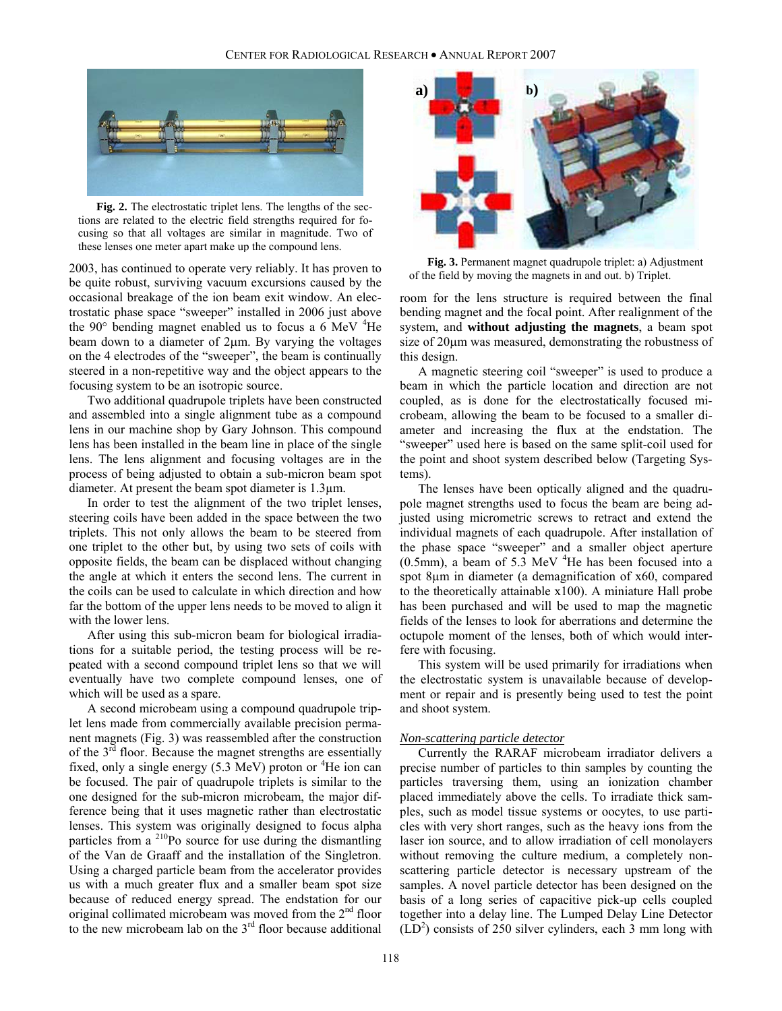

**Fig. 2.** The electrostatic triplet lens. The lengths of the sections are related to the electric field strengths required for focusing so that all voltages are similar in magnitude. Two of these lenses one meter apart make up the compound lens.

2003, has continued to operate very reliably. It has proven to be quite robust, surviving vacuum excursions caused by the occasional breakage of the ion beam exit window. An electrostatic phase space "sweeper" installed in 2006 just above the 90 $^{\circ}$  bending magnet enabled us to focus a 6 MeV  $^4$ He beam down to a diameter of 2μm. By varying the voltages on the 4 electrodes of the "sweeper", the beam is continually steered in a non-repetitive way and the object appears to the focusing system to be an isotropic source.

Two additional quadrupole triplets have been constructed and assembled into a single alignment tube as a compound lens in our machine shop by Gary Johnson. This compound lens has been installed in the beam line in place of the single lens. The lens alignment and focusing voltages are in the process of being adjusted to obtain a sub-micron beam spot diameter. At present the beam spot diameter is 1.3µm.

In order to test the alignment of the two triplet lenses, steering coils have been added in the space between the two triplets. This not only allows the beam to be steered from one triplet to the other but, by using two sets of coils with opposite fields, the beam can be displaced without changing the angle at which it enters the second lens. The current in the coils can be used to calculate in which direction and how far the bottom of the upper lens needs to be moved to align it with the lower lens.

After using this sub-micron beam for biological irradiations for a suitable period, the testing process will be repeated with a second compound triplet lens so that we will eventually have two complete compound lenses, one of which will be used as a spare.

A second microbeam using a compound quadrupole triplet lens made from commercially available precision permanent magnets (Fig. 3) was reassembled after the construction of the 3<sup>rd</sup> floor. Because the magnet strengths are essentially fixed, only a single energy  $(5.3 \text{ MeV})$  proton or <sup>4</sup>He ion can be focused. The pair of quadrupole triplets is similar to the one designed for the sub-micron microbeam, the major difference being that it uses magnetic rather than electrostatic lenses. This system was originally designed to focus alpha particles from a  $^{210}$ Po source for use during the dismantling of the Van de Graaff and the installation of the Singletron. Using a charged particle beam from the accelerator provides us with a much greater flux and a smaller beam spot size because of reduced energy spread. The endstation for our original collimated microbeam was moved from the  $2<sup>nd</sup>$  floor to the new microbeam lab on the  $3<sup>rd</sup>$  floor because additional



**Fig. 3.** Permanent magnet quadrupole triplet: a) Adjustment of the field by moving the magnets in and out. b) Triplet.

room for the lens structure is required between the final bending magnet and the focal point. After realignment of the system, and **without adjusting the magnets**, a beam spot size of 20μm was measured, demonstrating the robustness of this design.

A magnetic steering coil "sweeper" is used to produce a beam in which the particle location and direction are not coupled, as is done for the electrostatically focused microbeam, allowing the beam to be focused to a smaller diameter and increasing the flux at the endstation. The "sweeper" used here is based on the same split-coil used for the point and shoot system described below (Targeting Systems).

The lenses have been optically aligned and the quadrupole magnet strengths used to focus the beam are being adjusted using micrometric screws to retract and extend the individual magnets of each quadrupole. After installation of the phase space "sweeper" and a smaller object aperture  $(0.5$ mm), a beam of 5.3 MeV  $^{4}$ He has been focused into a spot 8µm in diameter (a demagnification of x60, compared to the theoretically attainable x100). A miniature Hall probe has been purchased and will be used to map the magnetic fields of the lenses to look for aberrations and determine the octupole moment of the lenses, both of which would interfere with focusing.

This system will be used primarily for irradiations when the electrostatic system is unavailable because of development or repair and is presently being used to test the point and shoot system.

# *Non-scattering particle detector*

Currently the RARAF microbeam irradiator delivers a precise number of particles to thin samples by counting the particles traversing them, using an ionization chamber placed immediately above the cells. To irradiate thick samples, such as model tissue systems or oocytes, to use particles with very short ranges, such as the heavy ions from the laser ion source, and to allow irradiation of cell monolayers without removing the culture medium, a completely nonscattering particle detector is necessary upstream of the samples. A novel particle detector has been designed on the basis of a long series of capacitive pick-up cells coupled together into a delay line. The Lumped Delay Line Detector  $(LD<sup>2</sup>)$  consists of 250 silver cylinders, each 3 mm long with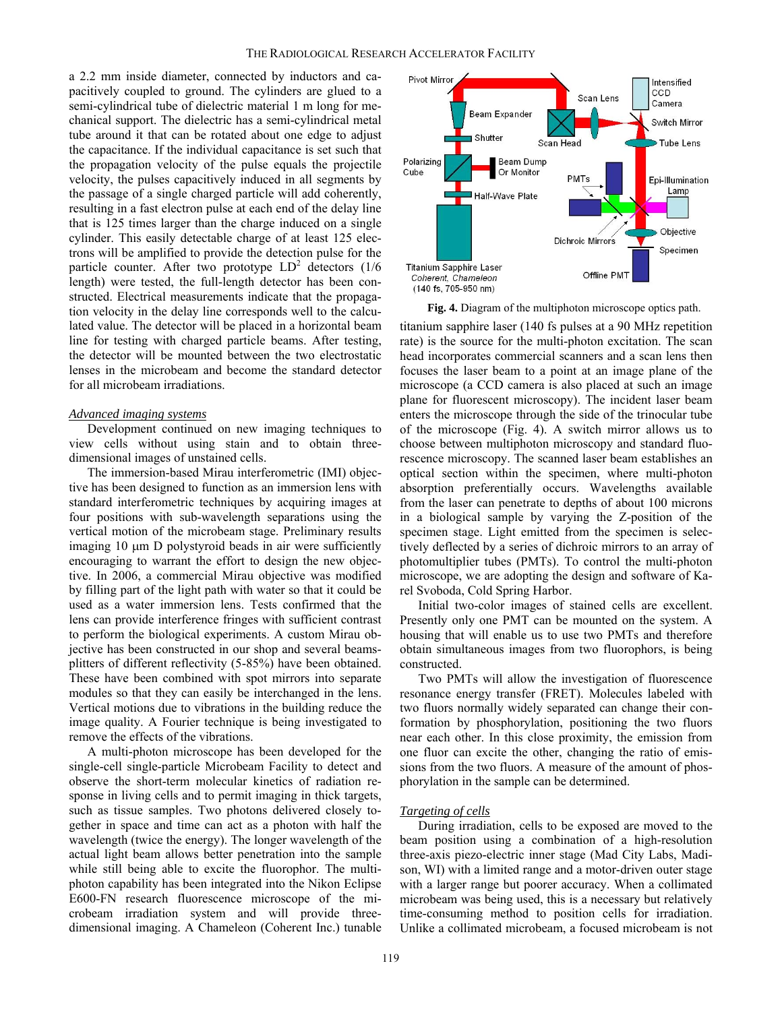a 2.2 mm inside diameter, connected by inductors and capacitively coupled to ground. The cylinders are glued to a semi-cylindrical tube of dielectric material 1 m long for mechanical support. The dielectric has a semi-cylindrical metal tube around it that can be rotated about one edge to adjust the capacitance. If the individual capacitance is set such that the propagation velocity of the pulse equals the projectile velocity, the pulses capacitively induced in all segments by the passage of a single charged particle will add coherently, resulting in a fast electron pulse at each end of the delay line that is 125 times larger than the charge induced on a single cylinder. This easily detectable charge of at least 125 electrons will be amplified to provide the detection pulse for the particle counter. After two prototype  $LD^2$  detectors (1/6) length) were tested, the full-length detector has been constructed. Electrical measurements indicate that the propagation velocity in the delay line corresponds well to the calculated value. The detector will be placed in a horizontal beam line for testing with charged particle beams. After testing, the detector will be mounted between the two electrostatic lenses in the microbeam and become the standard detector for all microbeam irradiations.

# *Advanced imaging systems*

Development continued on new imaging techniques to view cells without using stain and to obtain threedimensional images of unstained cells.

The immersion-based Mirau interferometric (IMI) objective has been designed to function as an immersion lens with standard interferometric techniques by acquiring images at four positions with sub-wavelength separations using the vertical motion of the microbeam stage. Preliminary results imaging 10 μm D polystyroid beads in air were sufficiently encouraging to warrant the effort to design the new objective. In 2006, a commercial Mirau objective was modified by filling part of the light path with water so that it could be used as a water immersion lens. Tests confirmed that the lens can provide interference fringes with sufficient contrast to perform the biological experiments. A custom Mirau objective has been constructed in our shop and several beamsplitters of different reflectivity (5-85%) have been obtained. These have been combined with spot mirrors into separate modules so that they can easily be interchanged in the lens. Vertical motions due to vibrations in the building reduce the image quality. A Fourier technique is being investigated to remove the effects of the vibrations.

A multi-photon microscope has been developed for the single-cell single-particle Microbeam Facility to detect and observe the short-term molecular kinetics of radiation response in living cells and to permit imaging in thick targets, such as tissue samples. Two photons delivered closely together in space and time can act as a photon with half the wavelength (twice the energy). The longer wavelength of the actual light beam allows better penetration into the sample while still being able to excite the fluorophor. The multiphoton capability has been integrated into the Nikon Eclipse E600-FN research fluorescence microscope of the microbeam irradiation system and will provide threedimensional imaging. A Chameleon (Coherent Inc.) tunable



**Fig. 4.** Diagram of the multiphoton microscope optics path.

titanium sapphire laser (140 fs pulses at a 90 MHz repetition rate) is the source for the multi-photon excitation. The scan head incorporates commercial scanners and a scan lens then focuses the laser beam to a point at an image plane of the microscope (a CCD camera is also placed at such an image plane for fluorescent microscopy). The incident laser beam enters the microscope through the side of the trinocular tube of the microscope (Fig. 4). A switch mirror allows us to choose between multiphoton microscopy and standard fluorescence microscopy. The scanned laser beam establishes an optical section within the specimen, where multi-photon absorption preferentially occurs. Wavelengths available from the laser can penetrate to depths of about 100 microns in a biological sample by varying the Z-position of the specimen stage. Light emitted from the specimen is selectively deflected by a series of dichroic mirrors to an array of photomultiplier tubes (PMTs). To control the multi-photon microscope, we are adopting the design and software of Karel Svoboda, Cold Spring Harbor.

Initial two-color images of stained cells are excellent. Presently only one PMT can be mounted on the system. A housing that will enable us to use two PMTs and therefore obtain simultaneous images from two fluorophors, is being constructed.

Two PMTs will allow the investigation of fluorescence resonance energy transfer (FRET). Molecules labeled with two fluors normally widely separated can change their conformation by phosphorylation, positioning the two fluors near each other. In this close proximity, the emission from one fluor can excite the other, changing the ratio of emissions from the two fluors. A measure of the amount of phosphorylation in the sample can be determined.

#### *Targeting of cells*

During irradiation, cells to be exposed are moved to the beam position using a combination of a high-resolution three-axis piezo-electric inner stage (Mad City Labs, Madison, WI) with a limited range and a motor-driven outer stage with a larger range but poorer accuracy. When a collimated microbeam was being used, this is a necessary but relatively time-consuming method to position cells for irradiation. Unlike a collimated microbeam, a focused microbeam is not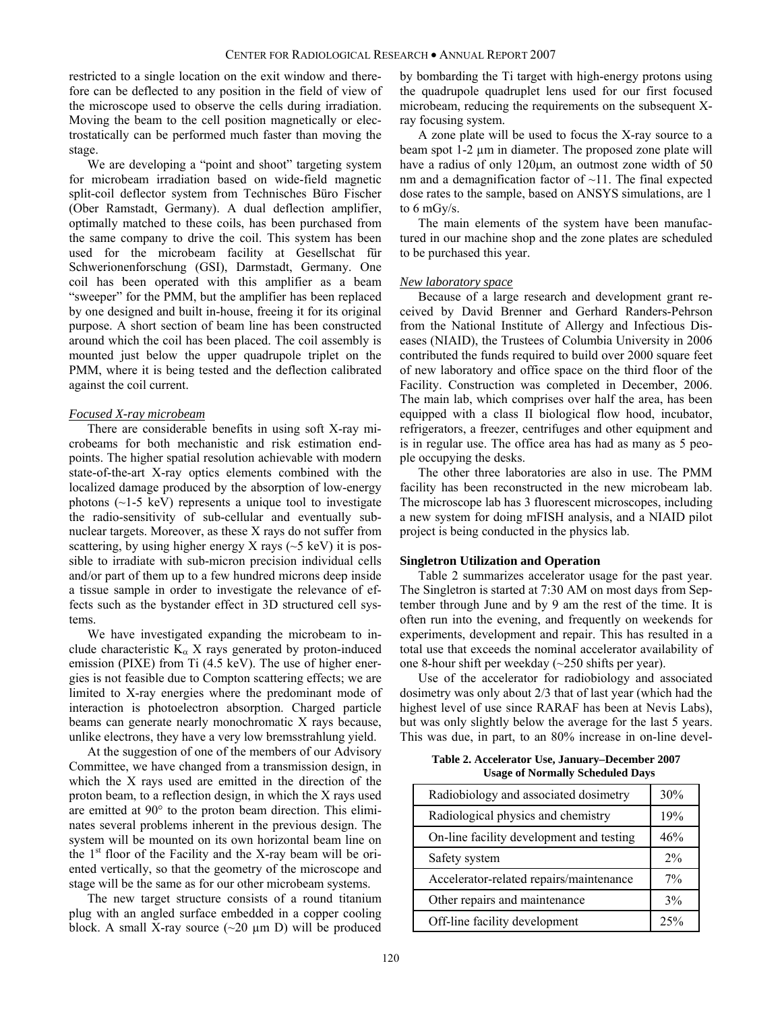restricted to a single location on the exit window and therefore can be deflected to any position in the field of view of the microscope used to observe the cells during irradiation. Moving the beam to the cell position magnetically or electrostatically can be performed much faster than moving the stage.

We are developing a "point and shoot" targeting system for microbeam irradiation based on wide-field magnetic split-coil deflector system from Technisches Büro Fischer (Ober Ramstadt, Germany). A dual deflection amplifier, optimally matched to these coils, has been purchased from the same company to drive the coil. This system has been used for the microbeam facility at Gesellschat für Schwerionenforschung (GSI), Darmstadt, Germany. One coil has been operated with this amplifier as a beam "sweeper" for the PMM, but the amplifier has been replaced by one designed and built in-house, freeing it for its original purpose. A short section of beam line has been constructed around which the coil has been placed. The coil assembly is mounted just below the upper quadrupole triplet on the PMM, where it is being tested and the deflection calibrated against the coil current.

# *Focused X-ray microbeam*

There are considerable benefits in using soft X-ray microbeams for both mechanistic and risk estimation endpoints. The higher spatial resolution achievable with modern state-of-the-art X-ray optics elements combined with the localized damage produced by the absorption of low-energy photons  $(\sim]$ 1-5 keV) represents a unique tool to investigate the radio-sensitivity of sub-cellular and eventually subnuclear targets. Moreover, as these X rays do not suffer from scattering, by using higher energy X rays  $({\sim}5 \text{ keV})$  it is possible to irradiate with sub-micron precision individual cells and/or part of them up to a few hundred microns deep inside a tissue sample in order to investigate the relevance of effects such as the bystander effect in 3D structured cell systems.

We have investigated expanding the microbeam to include characteristic  $K_{\alpha}$  X rays generated by proton-induced emission (PIXE) from Ti (4.5 keV). The use of higher energies is not feasible due to Compton scattering effects; we are limited to X-ray energies where the predominant mode of interaction is photoelectron absorption. Charged particle beams can generate nearly monochromatic X rays because, unlike electrons, they have a very low bremsstrahlung yield.

At the suggestion of one of the members of our Advisory Committee, we have changed from a transmission design, in which the X rays used are emitted in the direction of the proton beam, to a reflection design, in which the X rays used are emitted at 90° to the proton beam direction. This eliminates several problems inherent in the previous design. The system will be mounted on its own horizontal beam line on the  $1<sup>st</sup>$  floor of the Facility and the X-ray beam will be oriented vertically, so that the geometry of the microscope and stage will be the same as for our other microbeam systems.

The new target structure consists of a round titanium plug with an angled surface embedded in a copper cooling block. A small X-ray source  $(\sim 20 \mu m)$  will be produced by bombarding the Ti target with high-energy protons using the quadrupole quadruplet lens used for our first focused microbeam, reducing the requirements on the subsequent Xray focusing system.

A zone plate will be used to focus the X-ray source to a beam spot 1-2  $\mu$ m in diameter. The proposed zone plate will have a radius of only 120μm, an outmost zone width of 50 nm and a demagnification factor of  $\sim$ 11. The final expected dose rates to the sample, based on ANSYS simulations, are 1 to 6 mGy/s.

The main elements of the system have been manufactured in our machine shop and the zone plates are scheduled to be purchased this year.

#### *New laboratory space*

Because of a large research and development grant received by David Brenner and Gerhard Randers-Pehrson from the National Institute of Allergy and Infectious Diseases (NIAID), the Trustees of Columbia University in 2006 contributed the funds required to build over 2000 square feet of new laboratory and office space on the third floor of the Facility. Construction was completed in December, 2006. The main lab, which comprises over half the area, has been equipped with a class II biological flow hood, incubator, refrigerators, a freezer, centrifuges and other equipment and is in regular use. The office area has had as many as 5 people occupying the desks.

The other three laboratories are also in use. The PMM facility has been reconstructed in the new microbeam lab. The microscope lab has 3 fluorescent microscopes, including a new system for doing mFISH analysis, and a NIAID pilot project is being conducted in the physics lab.

### **Singletron Utilization and Operation**

Table 2 summarizes accelerator usage for the past year. The Singletron is started at 7:30 AM on most days from September through June and by 9 am the rest of the time. It is often run into the evening, and frequently on weekends for experiments, development and repair. This has resulted in a total use that exceeds the nominal accelerator availability of one 8-hour shift per weekday (~250 shifts per year).

Use of the accelerator for radiobiology and associated dosimetry was only about 2/3 that of last year (which had the highest level of use since RARAF has been at Nevis Labs), but was only slightly below the average for the last 5 years. This was due, in part, to an 80% increase in on-line devel-

**Table 2. Accelerator Use, January–December 2007 Usage of Normally Scheduled Days** 

| Radiobiology and associated dosimetry    | 30%   |
|------------------------------------------|-------|
| Radiological physics and chemistry       | 19%   |
| On-line facility development and testing | 46%   |
| Safety system                            | 2%    |
| Accelerator-related repairs/maintenance  | $7\%$ |
| Other repairs and maintenance            | 3%    |
| Off-line facility development            |       |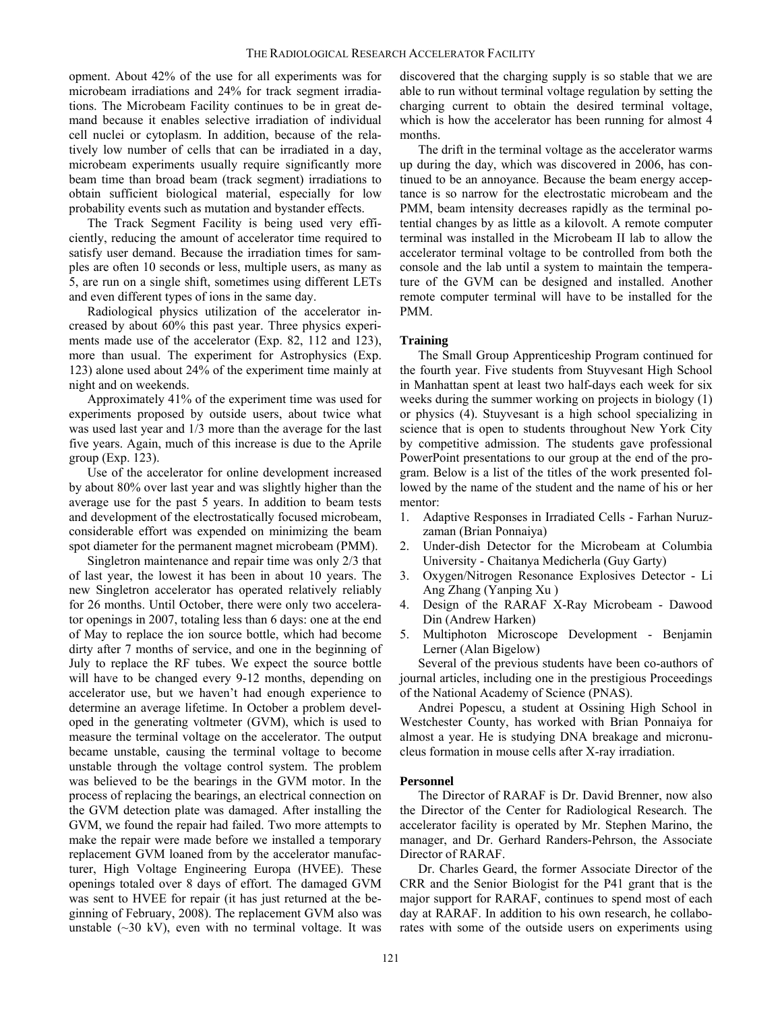opment. About 42% of the use for all experiments was for microbeam irradiations and 24% for track segment irradiations. The Microbeam Facility continues to be in great demand because it enables selective irradiation of individual cell nuclei or cytoplasm. In addition, because of the relatively low number of cells that can be irradiated in a day, microbeam experiments usually require significantly more beam time than broad beam (track segment) irradiations to obtain sufficient biological material, especially for low probability events such as mutation and bystander effects.

The Track Segment Facility is being used very efficiently, reducing the amount of accelerator time required to satisfy user demand. Because the irradiation times for samples are often 10 seconds or less, multiple users, as many as 5, are run on a single shift, sometimes using different LETs and even different types of ions in the same day.

Radiological physics utilization of the accelerator increased by about 60% this past year. Three physics experiments made use of the accelerator (Exp. 82, 112 and 123), more than usual. The experiment for Astrophysics (Exp. 123) alone used about 24% of the experiment time mainly at night and on weekends.

Approximately 41% of the experiment time was used for experiments proposed by outside users, about twice what was used last year and 1/3 more than the average for the last five years. Again, much of this increase is due to the Aprile group (Exp. 123).

Use of the accelerator for online development increased by about 80% over last year and was slightly higher than the average use for the past 5 years. In addition to beam tests and development of the electrostatically focused microbeam, considerable effort was expended on minimizing the beam spot diameter for the permanent magnet microbeam (PMM).

Singletron maintenance and repair time was only 2/3 that of last year, the lowest it has been in about 10 years. The new Singletron accelerator has operated relatively reliably for 26 months. Until October, there were only two accelerator openings in 2007, totaling less than 6 days: one at the end of May to replace the ion source bottle, which had become dirty after 7 months of service, and one in the beginning of July to replace the RF tubes. We expect the source bottle will have to be changed every 9-12 months, depending on accelerator use, but we haven't had enough experience to determine an average lifetime. In October a problem developed in the generating voltmeter (GVM), which is used to measure the terminal voltage on the accelerator. The output became unstable, causing the terminal voltage to become unstable through the voltage control system. The problem was believed to be the bearings in the GVM motor. In the process of replacing the bearings, an electrical connection on the GVM detection plate was damaged. After installing the GVM, we found the repair had failed. Two more attempts to make the repair were made before we installed a temporary replacement GVM loaned from by the accelerator manufacturer, High Voltage Engineering Europa (HVEE). These openings totaled over 8 days of effort. The damaged GVM was sent to HVEE for repair (it has just returned at the beginning of February, 2008). The replacement GVM also was unstable  $(\sim 30 \text{ kV})$ , even with no terminal voltage. It was

discovered that the charging supply is so stable that we are able to run without terminal voltage regulation by setting the charging current to obtain the desired terminal voltage, which is how the accelerator has been running for almost 4 months.

The drift in the terminal voltage as the accelerator warms up during the day, which was discovered in 2006, has continued to be an annoyance. Because the beam energy acceptance is so narrow for the electrostatic microbeam and the PMM, beam intensity decreases rapidly as the terminal potential changes by as little as a kilovolt. A remote computer terminal was installed in the Microbeam II lab to allow the accelerator terminal voltage to be controlled from both the console and the lab until a system to maintain the temperature of the GVM can be designed and installed. Another remote computer terminal will have to be installed for the PMM.

#### **Training**

The Small Group Apprenticeship Program continued for the fourth year. Five students from Stuyvesant High School in Manhattan spent at least two half-days each week for six weeks during the summer working on projects in biology (1) or physics (4). Stuyvesant is a high school specializing in science that is open to students throughout New York City by competitive admission. The students gave professional PowerPoint presentations to our group at the end of the program. Below is a list of the titles of the work presented followed by the name of the student and the name of his or her mentor:

- 1. Adaptive Responses in Irradiated Cells Farhan Nuruzzaman (Brian Ponnaiya)
- 2. Under-dish Detector for the Microbeam at Columbia University - Chaitanya Medicherla (Guy Garty)
- 3. Oxygen/Nitrogen Resonance Explosives Detector Li Ang Zhang (Yanping Xu )
- 4. Design of the RARAF X-Ray Microbeam Dawood Din (Andrew Harken)
- 5. Multiphoton Microscope Development Benjamin Lerner (Alan Bigelow)

Several of the previous students have been co-authors of journal articles, including one in the prestigious Proceedings of the National Academy of Science (PNAS).

Andrei Popescu, a student at Ossining High School in Westchester County, has worked with Brian Ponnaiya for almost a year. He is studying DNA breakage and micronucleus formation in mouse cells after X-ray irradiation.

#### **Personnel**

The Director of RARAF is Dr. David Brenner, now also the Director of the Center for Radiological Research. The accelerator facility is operated by Mr. Stephen Marino, the manager, and Dr. Gerhard Randers-Pehrson, the Associate Director of RARAF.

Dr. Charles Geard, the former Associate Director of the CRR and the Senior Biologist for the P41 grant that is the major support for RARAF, continues to spend most of each day at RARAF. In addition to his own research, he collaborates with some of the outside users on experiments using